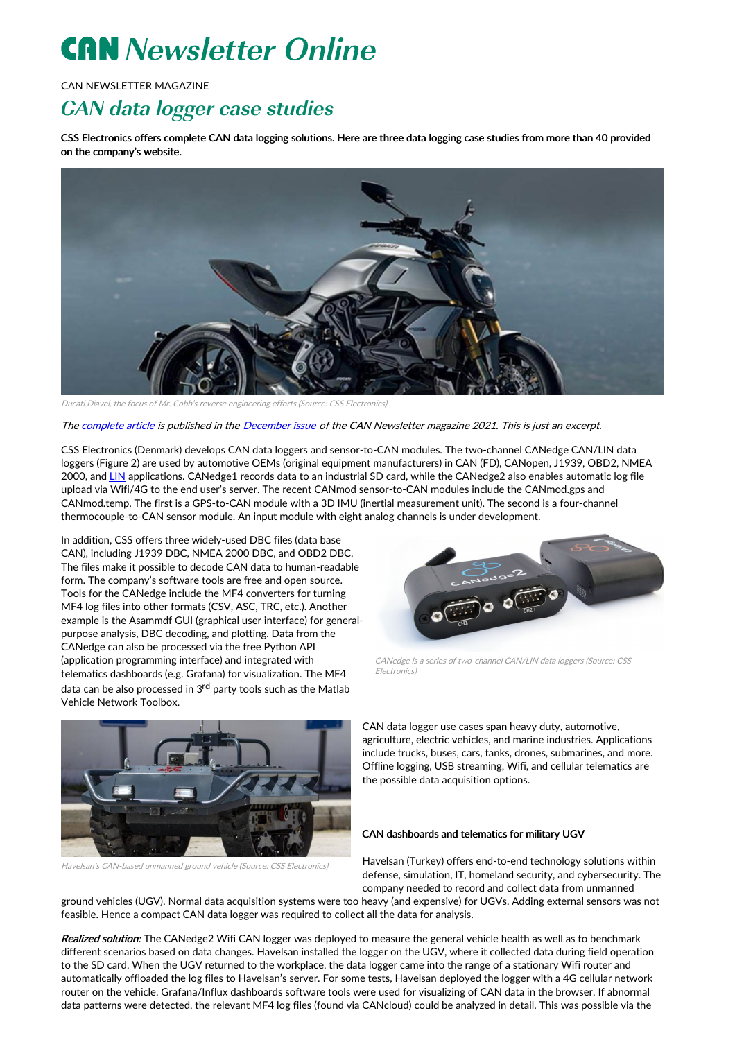## **CAN** Newsletter Online

CAN NEWSLETTER MAGAZINE

## CAN data logger case studies

CSS Electronics offers complete CAN data logging solutions. Here are three data logging case studies from more than 40 provided on the company's website.



Ducati Diavel, the focus of Mr. Cobb's reverse engineering efforts (Source: CSS Electronics)

The [complete](https://can-newsletter.org/uploads/media/raw/66bcfa56428db262cc6ff0e124bd429d.pdf) article is published in the [December](https://can-newsletter.org/magazine/46-December 2021/) issue of the CAN Newsletter magazine 2021. This is just an excerpt.

CSS Electronics (Denmark) develops CAN data loggers and sensor-to-CAN modules. The two-channel CANedge CAN/LIN data loggers (Figure 2) are used by automotive OEMs (original equipment manufacturers) in CAN (FD), CANopen, J1939, OBD2, NMEA 2000, and [LIN](https://www.lin-cia.org) applications. CANedge1 records data to an industrial SD card, while the CANedge2 also enables automatic log file upload via Wifi/4G to the end user's server. The recent CANmod sensor-to-CAN modules include the CANmod.gps and CANmod.temp. The first is a GPS-to-CAN module with a 3D IMU (inertial measurement unit). The second is a four-channel thermocouple-to-CAN sensor module. An input module with eight analog channels is under development.

In addition, CSS offers three widely-used DBC files (data base CAN), including J1939 DBC, NMEA 2000 DBC, and OBD2 DBC. The files make it possible to decode CAN data to human-readable form. The company's software tools are free and open source. Tools for the CANedge include the MF4 converters for turning MF4 log files into other formats (CSV, ASC, TRC, etc.). Another example is the Asammdf GUI (graphical user interface) for generalpurpose analysis, DBC decoding, and plotting. Data from the CANedge can also be processed via the free Python API (application programming interface) and integrated with telematics dashboards (e.g. Grafana) for visualization. The MF4 data can be also processed in 3<sup>rd</sup> party tools such as the Matlab Vehicle Network Toolbox.



CANedge is <sup>a</sup> series of two-channel CAN/LIN data loggers (Source: CSS Electronics)



Havelsan's CAN-based unmanned ground vehicle (Source: CSS Electronics)

CAN data logger use cases span heavy duty, automotive, agriculture, electric vehicles, and marine industries. Applications include trucks, buses, cars, tanks, drones, submarines, and more. Offline logging, USB streaming, Wifi, and cellular telematics are the possible data acquisition options.

## CAN dashboards and telematics for military UGV

Havelsan (Turkey) offers end-to-end technology solutions within defense, simulation, IT, homeland security, and cybersecurity. The company needed to record and collect data from unmanned

ground vehicles (UGV). Normal data acquisition systems were too heavy (and expensive) for UGVs. Adding external sensors was not feasible. Hence a compact CAN data logger was required to collect all the data for analysis.

Realized solution: The CANedge2 Wifi CAN logger was deployed to measure the general vehicle health as well as to benchmark different scenarios based on data changes. Havelsan installed the logger on the UGV, where it collected data during field operation to the SD card. When the UGV returned to the workplace, the data logger came into the range of a stationary Wifi router and automatically offloaded the log files to Havelsan's server. For some tests, Havelsan deployed the logger with a 4G cellular network router on the vehicle. Grafana/Influx dashboards software tools were used for visualizing of CAN data in the browser. If abnormal data patterns were detected, the relevant MF4 log files (found via CANcloud) could be analyzed in detail. This was possible via the